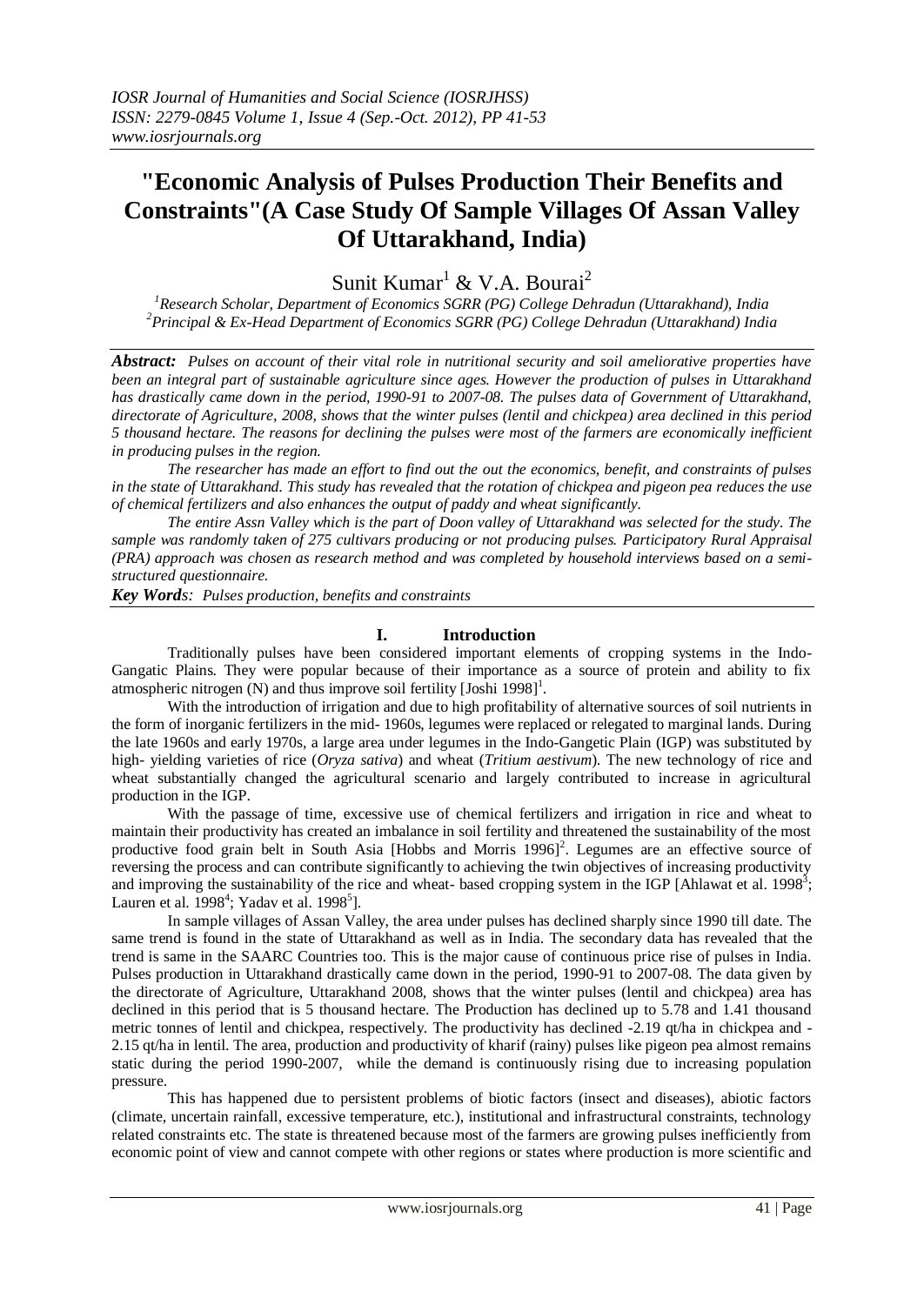# **"Economic Analysis of Pulses Production Their Benefits and Constraints"(A Case Study Of Sample Villages Of Assan Valley Of Uttarakhand, India)**

Sunit Kumar<sup>1</sup> & V.A. Bourai<sup>2</sup>

*<sup>1</sup>Research Scholar, Department of Economics SGRR (PG) College Dehradun (Uttarakhand), India <sup>2</sup>Principal & Ex-Head Department of Economics SGRR (PG) College Dehradun (Uttarakhand) India*

*Abstract: Pulses on account of their vital role in nutritional security and soil ameliorative properties have been an integral part of sustainable agriculture since ages. However the production of pulses in Uttarakhand has drastically came down in the period, 1990-91 to 2007-08. The pulses data of Government of Uttarakhand, directorate of Agriculture, 2008, shows that the winter pulses (lentil and chickpea) area declined in this period 5 thousand hectare. The reasons for declining the pulses were most of the farmers are economically inefficient in producing pulses in the region.* 

*The researcher has made an effort to find out the out the economics, benefit, and constraints of pulses in the state of Uttarakhand. This study has revealed that the rotation of chickpea and pigeon pea reduces the use of chemical fertilizers and also enhances the output of paddy and wheat significantly.*

*The entire Assn Valley which is the part of Doon valley of Uttarakhand was selected for the study. The sample was randomly taken of 275 cultivars producing or not producing pulses. Participatory Rural Appraisal (PRA) approach was chosen as research method and was completed by household interviews based on a semistructured questionnaire.* 

*Key Words: Pulses production, benefits and constraints*

## **I. Introduction**

Traditionally pulses have been considered important elements of cropping systems in the Indo-Gangatic Plains. They were popular because of their importance as a source of protein and ability to fix atmospheric nitrogen (N) and thus improve soil fertility [Joshi 1998]<sup>1</sup>.

With the introduction of irrigation and due to high profitability of alternative sources of soil nutrients in the form of inorganic fertilizers in the mid- 1960s, legumes were replaced or relegated to marginal lands. During the late 1960s and early 1970s, a large area under legumes in the Indo-Gangetic Plain (IGP) was substituted by high- yielding varieties of rice (*Oryza sativa*) and wheat (*Tritium aestivum*). The new technology of rice and wheat substantially changed the agricultural scenario and largely contributed to increase in agricultural production in the IGP.

With the passage of time, excessive use of chemical fertilizers and irrigation in rice and wheat to maintain their productivity has created an imbalance in soil fertility and threatened the sustainability of the most productive food grain belt in South Asia [Hobbs and Morris 1996]<sup>2</sup>. Legumes are an effective source of reversing the process and can contribute significantly to achieving the twin objectives of increasing productivity and improving the sustainability of the rice and wheat- based cropping system in the IGP [Ahlawat et al. 1998<sup>3</sup>; Lauren et al.  $1998^4$ ; Yadav et al.  $1998^5$ ].

In sample villages of Assan Valley, the area under pulses has declined sharply since 1990 till date. The same trend is found in the state of Uttarakhand as well as in India. The secondary data has revealed that the trend is same in the SAARC Countries too. This is the major cause of continuous price rise of pulses in India. Pulses production in Uttarakhand drastically came down in the period, 1990-91 to 2007-08. The data given by the directorate of Agriculture, Uttarakhand 2008, shows that the winter pulses (lentil and chickpea) area has declined in this period that is 5 thousand hectare. The Production has declined up to 5.78 and 1.41 thousand metric tonnes of lentil and chickpea, respectively. The productivity has declined -2.19 qt/ha in chickpea and -2.15 qt/ha in lentil. The area, production and productivity of kharif (rainy) pulses like pigeon pea almost remains static during the period 1990-2007, while the demand is continuously rising due to increasing population pressure.

This has happened due to persistent problems of biotic factors (insect and diseases), abiotic factors (climate, uncertain rainfall, excessive temperature, etc.), institutional and infrastructural constraints, technology related constraints etc. The state is threatened because most of the farmers are growing pulses inefficiently from economic point of view and cannot compete with other regions or states where production is more scientific and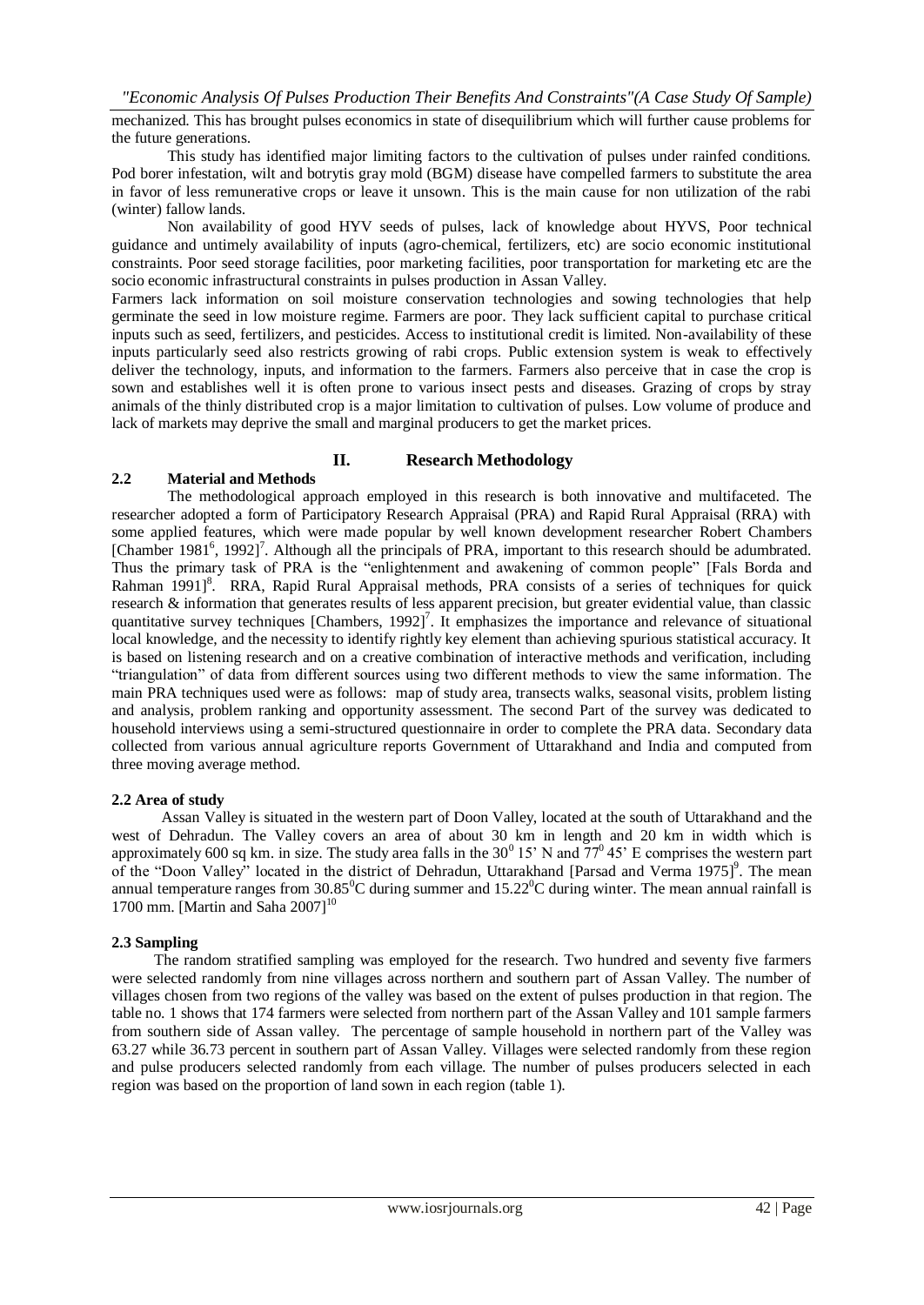mechanized. This has brought pulses economics in state of disequilibrium which will further cause problems for the future generations.

This study has identified major limiting factors to the cultivation of pulses under rainfed conditions. Pod borer infestation, wilt and botrytis gray mold (BGM) disease have compelled farmers to substitute the area in favor of less remunerative crops or leave it unsown. This is the main cause for non utilization of the rabi (winter) fallow lands.

Non availability of good HYV seeds of pulses, lack of knowledge about HYVS, Poor technical guidance and untimely availability of inputs (agro-chemical, fertilizers, etc) are socio economic institutional constraints. Poor seed storage facilities, poor marketing facilities, poor transportation for marketing etc are the socio economic infrastructural constraints in pulses production in Assan Valley.

Farmers lack information on soil moisture conservation technologies and sowing technologies that help germinate the seed in low moisture regime. Farmers are poor. They lack sufficient capital to purchase critical inputs such as seed, fertilizers, and pesticides. Access to institutional credit is limited. Non-availability of these inputs particularly seed also restricts growing of rabi crops. Public extension system is weak to effectively deliver the technology, inputs, and information to the farmers. Farmers also perceive that in case the crop is sown and establishes well it is often prone to various insect pests and diseases. Grazing of crops by stray animals of the thinly distributed crop is a major limitation to cultivation of pulses. Low volume of produce and lack of markets may deprive the small and marginal producers to get the market prices.

#### **II. Research Methodology**

## **2.2 Material and Methods**

The methodological approach employed in this research is both innovative and multifaceted. The researcher adopted a form of Participatory Research Appraisal (PRA) and Rapid Rural Appraisal (RRA) with some applied features, which were made popular by well known development researcher Robert Chambers [Chamber 1981<sup>6</sup>, 1992]<sup>7</sup>. Although all the principals of PRA, important to this research should be adumbrated. Thus the primary task of PRA is the "enlightenment and awakening of common people" [Fals Borda and Rahman 1991]<sup>8</sup>. RRA, Rapid Rural Appraisal methods, PRA consists of a series of techniques for quick research & information that generates results of less apparent precision, but greater evidential value, than classic quantitative survey techniques  $[Chambers, 1992]$ <sup>7</sup>. It emphasizes the importance and relevance of situational local knowledge, and the necessity to identify rightly key element than achieving spurious statistical accuracy. It is based on listening research and on a creative combination of interactive methods and verification, including "triangulation" of data from different sources using two different methods to view the same information. The main PRA techniques used were as follows: map of study area, transects walks, seasonal visits, problem listing and analysis, problem ranking and opportunity assessment. The second Part of the survey was dedicated to household interviews using a semi-structured questionnaire in order to complete the PRA data. Secondary data collected from various annual agriculture reports Government of Uttarakhand and India and computed from three moving average method.

#### **2.2 Area of study**

 Assan Valley is situated in the western part of Doon Valley, located at the south of Uttarakhand and the west of Dehradun. The Valley covers an area of about 30 km in length and 20 km in width which is approximately 600 sq km. in size. The study area falls in the  $30^0$  15' N and  $77^0$  45' E comprises the western part of the "Doon Valley" located in the district of Dehradun, Uttarakhand [Parsad and Verma 1975]<sup>9</sup>. The mean annual temperature ranges from  $30.85^{\circ}$ C during summer and  $15.22^{\circ}$ C during winter. The mean annual rainfall is 1700 mm. [Martin and Saha 2007] $^{10}$ 

#### **2.3 Sampling**

 The random stratified sampling was employed for the research. Two hundred and seventy five farmers were selected randomly from nine villages across northern and southern part of Assan Valley. The number of villages chosen from two regions of the valley was based on the extent of pulses production in that region. The table no. 1 shows that 174 farmers were selected from northern part of the Assan Valley and 101 sample farmers from southern side of Assan valley. The percentage of sample household in northern part of the Valley was 63.27 while 36.73 percent in southern part of Assan Valley. Villages were selected randomly from these region and pulse producers selected randomly from each village. The number of pulses producers selected in each region was based on the proportion of land sown in each region (table 1).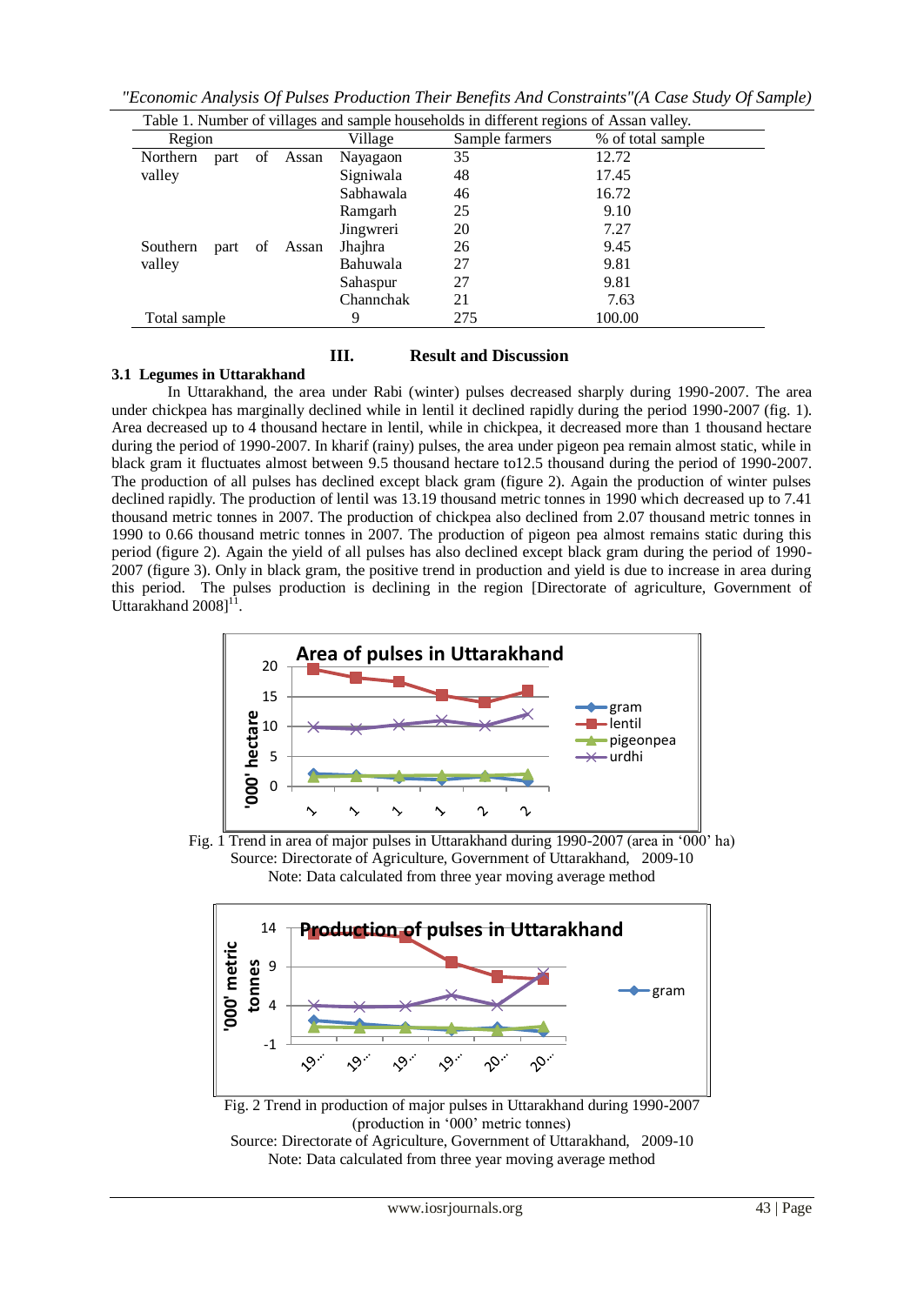| Region       |      |    |       | Village   | Sample farmers | % of total sample |
|--------------|------|----|-------|-----------|----------------|-------------------|
| Northern     | part | of | Assan | Nayagaon  | 35             | 12.72             |
| valley       |      |    |       | Signiwala | 48             | 17.45             |
|              |      |    |       | Sabhawala | 46             | 16.72             |
|              |      |    |       | Ramgarh   | 25             | 9.10              |
|              |      |    |       | Jingwreri | 20             | 7.27              |
| Southern     | part | of | Assan | Jhajhra   | 26             | 9.45              |
| valley       |      |    |       | Bahuwala  | 27             | 9.81              |
|              |      |    |       | Sahaspur  | 27             | 9.81              |
|              |      |    |       | Channchak | 21             | 7.63              |
| Total sample |      |    |       | 9         | 275            | 100.00            |

*"Economic Analysis Of Pulses Production Their Benefits And Constraints"(A Case Study Of Sample)*

## **III. Result and Discussion**

## **3.1 Legumes in Uttarakhand**

In Uttarakhand, the area under Rabi (winter) pulses decreased sharply during 1990-2007. The area under chickpea has marginally declined while in lentil it declined rapidly during the period 1990-2007 (fig. 1). Area decreased up to 4 thousand hectare in lentil, while in chickpea, it decreased more than 1 thousand hectare during the period of 1990-2007. In kharif (rainy) pulses, the area under pigeon pea remain almost static, while in black gram it fluctuates almost between 9.5 thousand hectare to12.5 thousand during the period of 1990-2007. The production of all pulses has declined except black gram (figure 2). Again the production of winter pulses declined rapidly. The production of lentil was 13.19 thousand metric tonnes in 1990 which decreased up to 7.41 thousand metric tonnes in 2007. The production of chickpea also declined from 2.07 thousand metric tonnes in 1990 to 0.66 thousand metric tonnes in 2007. The production of pigeon pea almost remains static during this period (figure 2). Again the yield of all pulses has also declined except black gram during the period of 1990- 2007 (figure 3). Only in black gram, the positive trend in production and yield is due to increase in area during this period. The pulses production is declining in the region [Directorate of agriculture, Government of Uttarakhand  $20081$ <sup>11</sup> .









Source: Directorate of Agriculture, Government of Uttarakhand, 2009-10 Note: Data calculated from three year moving average method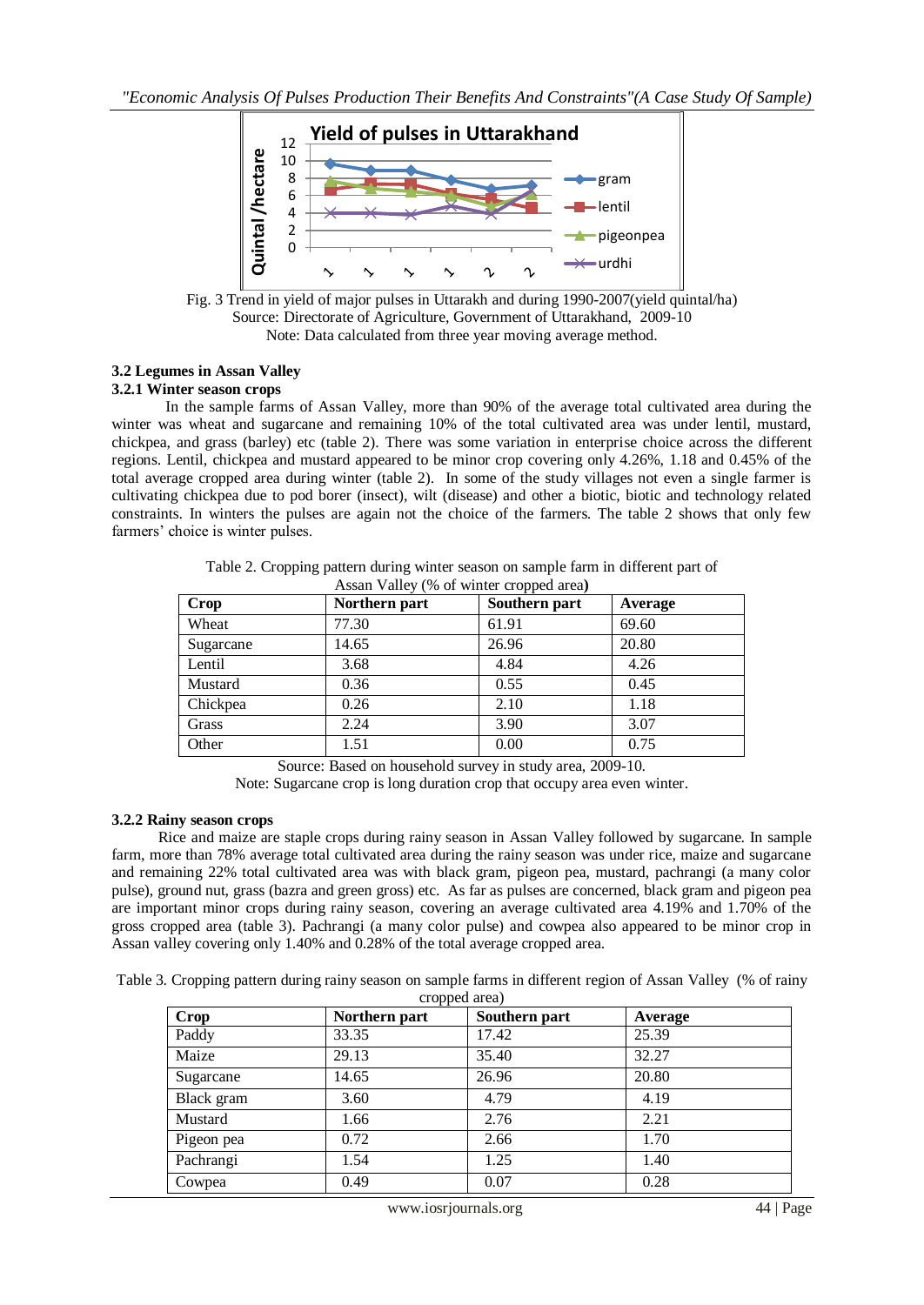

Fig. 3 Trend in yield of major pulses in Uttarakh and during 1990-2007(yield quintal/ha) Source: Directorate of Agriculture, Government of Uttarakhand, 2009-10 Note: Data calculated from three year moving average method.

#### **3.2 Legumes in Assan Valley 3.2.1 Winter season crops**

In the sample farms of Assan Valley, more than 90% of the average total cultivated area during the winter was wheat and sugarcane and remaining 10% of the total cultivated area was under lentil, mustard, chickpea, and grass (barley) etc (table 2). There was some variation in enterprise choice across the different regions. Lentil, chickpea and mustard appeared to be minor crop covering only 4.26%, 1.18 and 0.45% of the total average cropped area during winter (table 2). In some of the study villages not even a single farmer is cultivating chickpea due to pod borer (insect), wilt (disease) and other a biotic, biotic and technology related constraints. In winters the pulses are again not the choice of the farmers. The table 2 shows that only few farmers' choice is winter pulses.

| <b>Crop</b> | Northern part | Southern part | Average |
|-------------|---------------|---------------|---------|
| Wheat       | 77.30         | 61.91         | 69.60   |
| Sugarcane   | 14.65         | 26.96         | 20.80   |
| Lentil      | 3.68          | 4.84          | 4.26    |
| Mustard     | 0.36          | 0.55          | 0.45    |
| Chickpea    | 0.26          | 2.10          | 1.18    |
| Grass       | 2.24          | 3.90          | 3.07    |
| Other       | 1.51          | 0.00          | 0.75    |

Table 2. Cropping pattern during winter season on sample farm in different part of Assan Valley (% of winter cropped area**)**

Source: Based on household survey in study area, 2009-10.

Note: Sugarcane crop is long duration crop that occupy area even winter.

## **3.2.2 Rainy season crops**

 Rice and maize are staple crops during rainy season in Assan Valley followed by sugarcane. In sample farm, more than 78% average total cultivated area during the rainy season was under rice, maize and sugarcane and remaining 22% total cultivated area was with black gram, pigeon pea, mustard, pachrangi (a many color pulse), ground nut, grass (bazra and green gross) etc. As far as pulses are concerned, black gram and pigeon pea are important minor crops during rainy season, covering an average cultivated area 4.19% and 1.70% of the gross cropped area (table 3). Pachrangi (a many color pulse) and cowpea also appeared to be minor crop in Assan valley covering only 1.40% and 0.28% of the total average cropped area.

Table 3. Cropping pattern during rainy season on sample farms in different region of Assan Valley (% of rainy cropped area)

| <b>Crop</b> | Northern part | $\alpha$ opped $\alpha$ and $\alpha$<br>Southern part | Average |
|-------------|---------------|-------------------------------------------------------|---------|
| Paddy       | 33.35         | 17.42                                                 | 25.39   |
| Maize       | 29.13         | 35.40                                                 | 32.27   |
| Sugarcane   | 14.65         | 26.96                                                 | 20.80   |
| Black gram  | 3.60          | 4.79                                                  | 4.19    |
| Mustard     | 1.66          | 2.76                                                  | 2.21    |
| Pigeon pea  | 0.72          | 2.66                                                  | 1.70    |
| Pachrangi   | 1.54          | 1.25                                                  | 1.40    |
| Cowpea      | 0.49          | 0.07                                                  | 0.28    |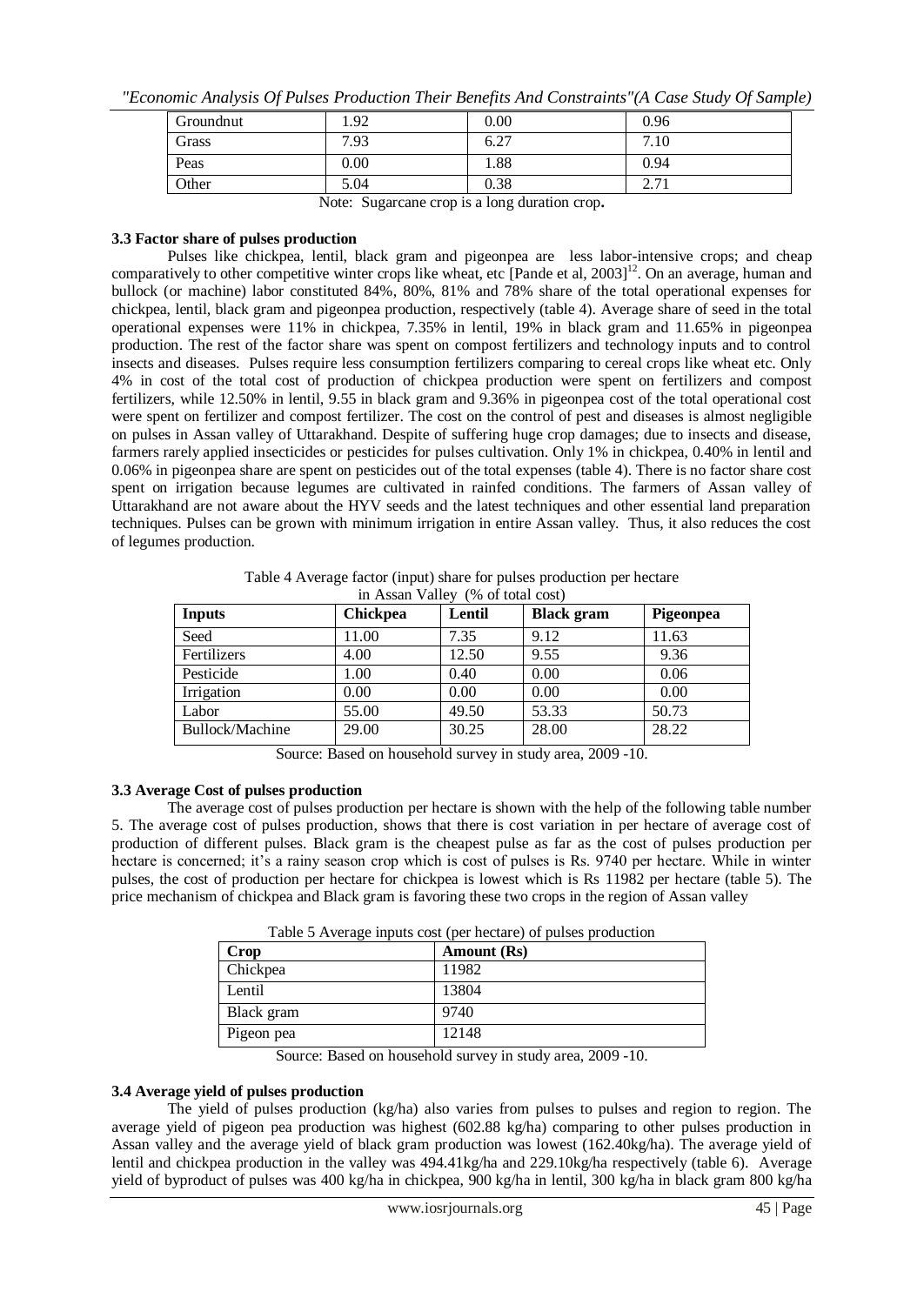| "Economic Analysis Of Pulses Production Their Benefits And Constraints"(A Case Study Of Sample) |  |  |  |
|-------------------------------------------------------------------------------------------------|--|--|--|
|                                                                                                 |  |  |  |

| Groundnut | 1.92     | 0.00               | 0.96                 |
|-----------|----------|--------------------|----------------------|
| Grass     | 7.93     | $\sqrt{2}$<br>0.27 | −<br>$^{\prime}.10$  |
| Peas      | $0.00\,$ | 1.88               | 0.94                 |
| Other     | 5.04     | 0.38               | $\sim \cdot$ 1 $\pm$ |
|           | $ -$     |                    |                      |

Note: Sugarcane crop is a long duration crop**.**

#### **3.3 Factor share of pulses production**

Pulses like chickpea, lentil, black gram and pigeonpea are less labor-intensive crops; and cheap comparatively to other competitive winter crops like wheat, etc [Pande et al,  $2003$ ]<sup>12</sup>. On an average, human and bullock (or machine) labor constituted 84%, 80%, 81% and 78% share of the total operational expenses for chickpea, lentil, black gram and pigeonpea production, respectively (table 4). Average share of seed in the total operational expenses were 11% in chickpea, 7.35% in lentil, 19% in black gram and 11.65% in pigeonpea production. The rest of the factor share was spent on compost fertilizers and technology inputs and to control insects and diseases. Pulses require less consumption fertilizers comparing to cereal crops like wheat etc. Only 4% in cost of the total cost of production of chickpea production were spent on fertilizers and compost fertilizers, while 12.50% in lentil, 9.55 in black gram and 9.36% in pigeonpea cost of the total operational cost were spent on fertilizer and compost fertilizer. The cost on the control of pest and diseases is almost negligible on pulses in Assan valley of Uttarakhand. Despite of suffering huge crop damages; due to insects and disease, farmers rarely applied insecticides or pesticides for pulses cultivation. Only 1% in chickpea, 0.40% in lentil and 0.06% in pigeonpea share are spent on pesticides out of the total expenses (table 4). There is no factor share cost spent on irrigation because legumes are cultivated in rainfed conditions. The farmers of Assan valley of Uttarakhand are not aware about the HYV seeds and the latest techniques and other essential land preparation techniques. Pulses can be grown with minimum irrigation in entire Assan valley. Thus, it also reduces the cost of legumes production.

| <b>Inputs</b>   | Chickpea | Lentil | <b>Black</b> gram | Pigeonpea |
|-----------------|----------|--------|-------------------|-----------|
| Seed            | 11.00    | 7.35   | 9.12              | 11.63     |
| Fertilizers     | 4.00     | 12.50  | 9.55              | 9.36      |
| Pesticide       | 1.00     | 0.40   | 0.00              | 0.06      |
| Irrigation      | 0.00     | 0.00   | 0.00              | 0.00      |
| Labor           | 55.00    | 49.50  | 53.33             | 50.73     |
| Bullock/Machine | 29.00    | 30.25  | 28.00             | 28.22     |

Table 4 Average factor (input) share for pulses production per hectare in Assan Valley (% of total cost)

Source: Based on household survey in study area, 2009 -10.

## **3.3 Average Cost of pulses production**

The average cost of pulses production per hectare is shown with the help of the following table number 5. The average cost of pulses production, shows that there is cost variation in per hectare of average cost of production of different pulses. Black gram is the cheapest pulse as far as the cost of pulses production per hectare is concerned; it's a rainy season crop which is cost of pulses is Rs. 9740 per hectare. While in winter pulses, the cost of production per hectare for chickpea is lowest which is Rs 11982 per hectare (table 5). The price mechanism of chickpea and Black gram is favoring these two crops in the region of Assan valley

| Table 5 Average inputs cost (per hectare) of pulses production |  |
|----------------------------------------------------------------|--|
|----------------------------------------------------------------|--|

| Crop       | Amount (Rs) |
|------------|-------------|
| Chickpea   | 11982       |
| Lentil     | 13804       |
| Black gram | 9740        |
| Pigeon pea | 12148       |

Source: Based on household survey in study area, 2009 -10.

#### **3.4 Average yield of pulses production**

The yield of pulses production (kg/ha) also varies from pulses to pulses and region to region. The average yield of pigeon pea production was highest (602.88 kg/ha) comparing to other pulses production in Assan valley and the average yield of black gram production was lowest (162.40kg/ha). The average yield of lentil and chickpea production in the valley was 494.41kg/ha and 229.10kg/ha respectively (table 6). Average yield of byproduct of pulses was 400 kg/ha in chickpea, 900 kg/ha in lentil, 300 kg/ha in black gram 800 kg/ha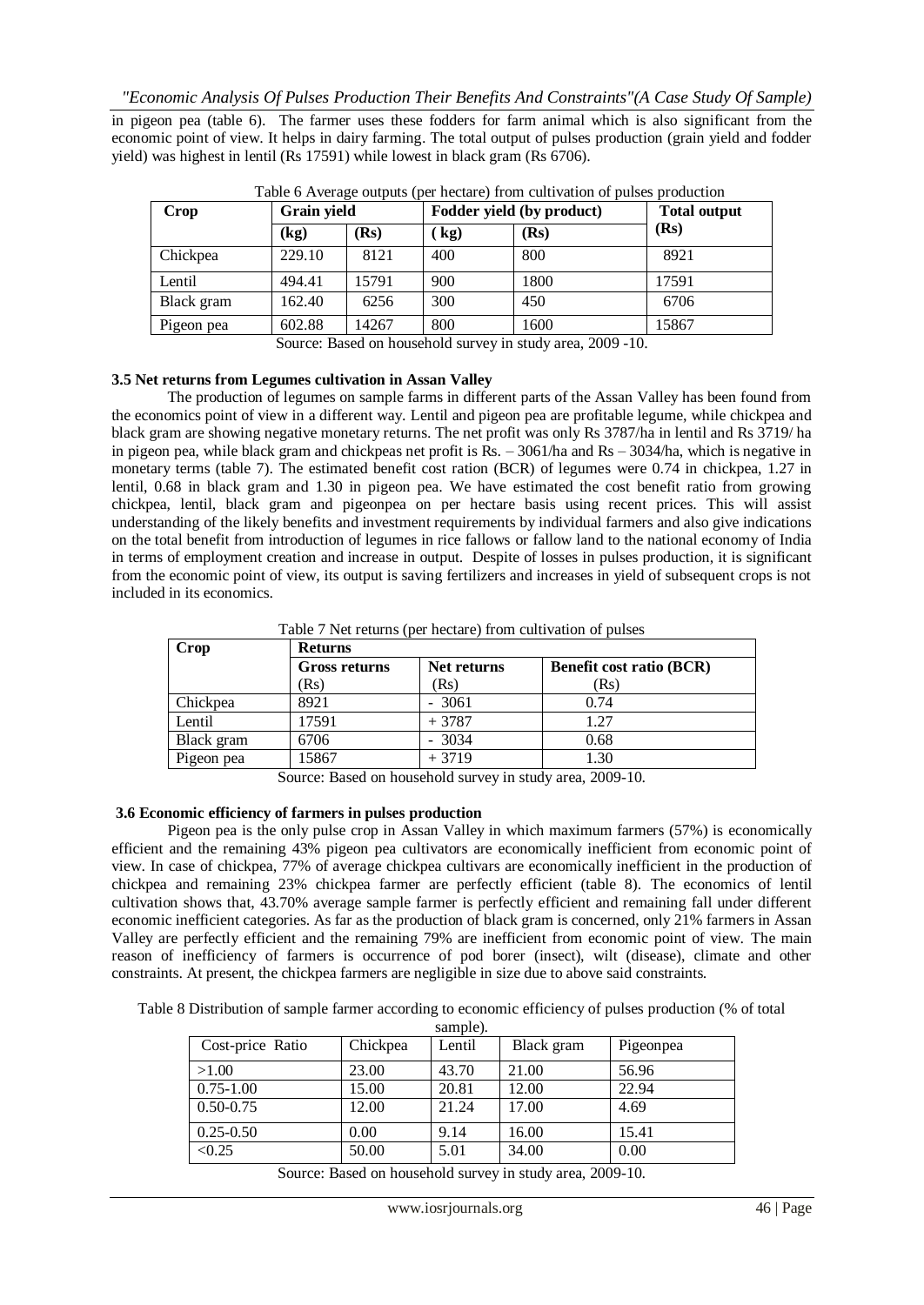in pigeon pea (table 6). The farmer uses these fodders for farm animal which is also significant from the economic point of view. It helps in dairy farming. The total output of pulses production (grain yield and fodder yield) was highest in lentil (Rs 17591) while lowest in black gram (Rs 6706).

| Crop       | Grain yield |       | Fodder yield (by product) |      | <b>Total output</b> |
|------------|-------------|-------|---------------------------|------|---------------------|
|            | (kg)        | (Rs   | $\mathbf{kg}$             | (Rs) | (Rs)                |
| Chickpea   | 229.10      | 8121  | 400                       | 800  | 8921                |
| Lentil     | 494.41      | 15791 | 900                       | 1800 | 17591               |
| Black gram | 162.40      | 6256  | 300                       | 450  | 6706                |
| Pigeon pea | 602.88      | 14267 | 800                       | 1600 | 15867               |

Source: Based on household survey in study area, 2009 -10.

## **3.5 Net returns from Legumes cultivation in Assan Valley**

The production of legumes on sample farms in different parts of the Assan Valley has been found from the economics point of view in a different way. Lentil and pigeon pea are profitable legume, while chickpea and black gram are showing negative monetary returns. The net profit was only Rs 3787/ha in lentil and Rs 3719/ ha in pigeon pea, while black gram and chickpeas net profit is Rs. – 3061/ha and Rs – 3034/ha, which is negative in monetary terms (table 7). The estimated benefit cost ration (BCR) of legumes were 0.74 in chickpea, 1.27 in lentil, 0.68 in black gram and 1.30 in pigeon pea. We have estimated the cost benefit ratio from growing chickpea, lentil, black gram and pigeonpea on per hectare basis using recent prices. This will assist understanding of the likely benefits and investment requirements by individual farmers and also give indications on the total benefit from introduction of legumes in rice fallows or fallow land to the national economy of India in terms of employment creation and increase in output. Despite of losses in pulses production, it is significant from the economic point of view, its output is saving fertilizers and increases in yield of subsequent crops is not included in its economics.

Table 7 Net returns (per hectare) from cultivation of pulses

| Crop       | <b>Returns</b> |             |                                 |  |  |  |  |
|------------|----------------|-------------|---------------------------------|--|--|--|--|
|            | Gross returns  | Net returns | <b>Benefit cost ratio (BCR)</b> |  |  |  |  |
|            | (Rs            | (Rs)        | (Rs)                            |  |  |  |  |
| Chickpea   | 8921           | 3061        | 0.74                            |  |  |  |  |
| Lentil     | 17591          | $+3787$     | 1.27                            |  |  |  |  |
| Black gram | 6706           | 3034        | 0.68                            |  |  |  |  |
| Pigeon pea | 15867          | $+3719$     | 1.30                            |  |  |  |  |

Source: Based on household survey in study area, 2009-10.

#### **3.6 Economic efficiency of farmers in pulses production**

Pigeon pea is the only pulse crop in Assan Valley in which maximum farmers (57%) is economically efficient and the remaining 43% pigeon pea cultivators are economically inefficient from economic point of view. In case of chickpea, 77% of average chickpea cultivars are economically inefficient in the production of chickpea and remaining 23% chickpea farmer are perfectly efficient (table 8). The economics of lentil cultivation shows that, 43.70% average sample farmer is perfectly efficient and remaining fall under different economic inefficient categories. As far as the production of black gram is concerned, only 21% farmers in Assan Valley are perfectly efficient and the remaining 79% are inefficient from economic point of view. The main reason of inefficiency of farmers is occurrence of pod borer (insect), wilt (disease), climate and other constraints. At present, the chickpea farmers are negligible in size due to above said constraints.

Table 8 Distribution of sample farmer according to economic efficiency of pulses production (% of total sample).

| Chickpea | Lentil | Black gram | Pigeonpea |
|----------|--------|------------|-----------|
| 23.00    | 43.70  | 21.00      | 56.96     |
| 15.00    | 20.81  | 12.00      | 22.94     |
| 12.00    | 21.24  | 17.00      | 4.69      |
| 0.00     | 9.14   | 16.00      | 15.41     |
| 50.00    | 5.01   | 34.00      | 0.00      |
|          |        |            |           |

Source: Based on household survey in study area, 2009-10.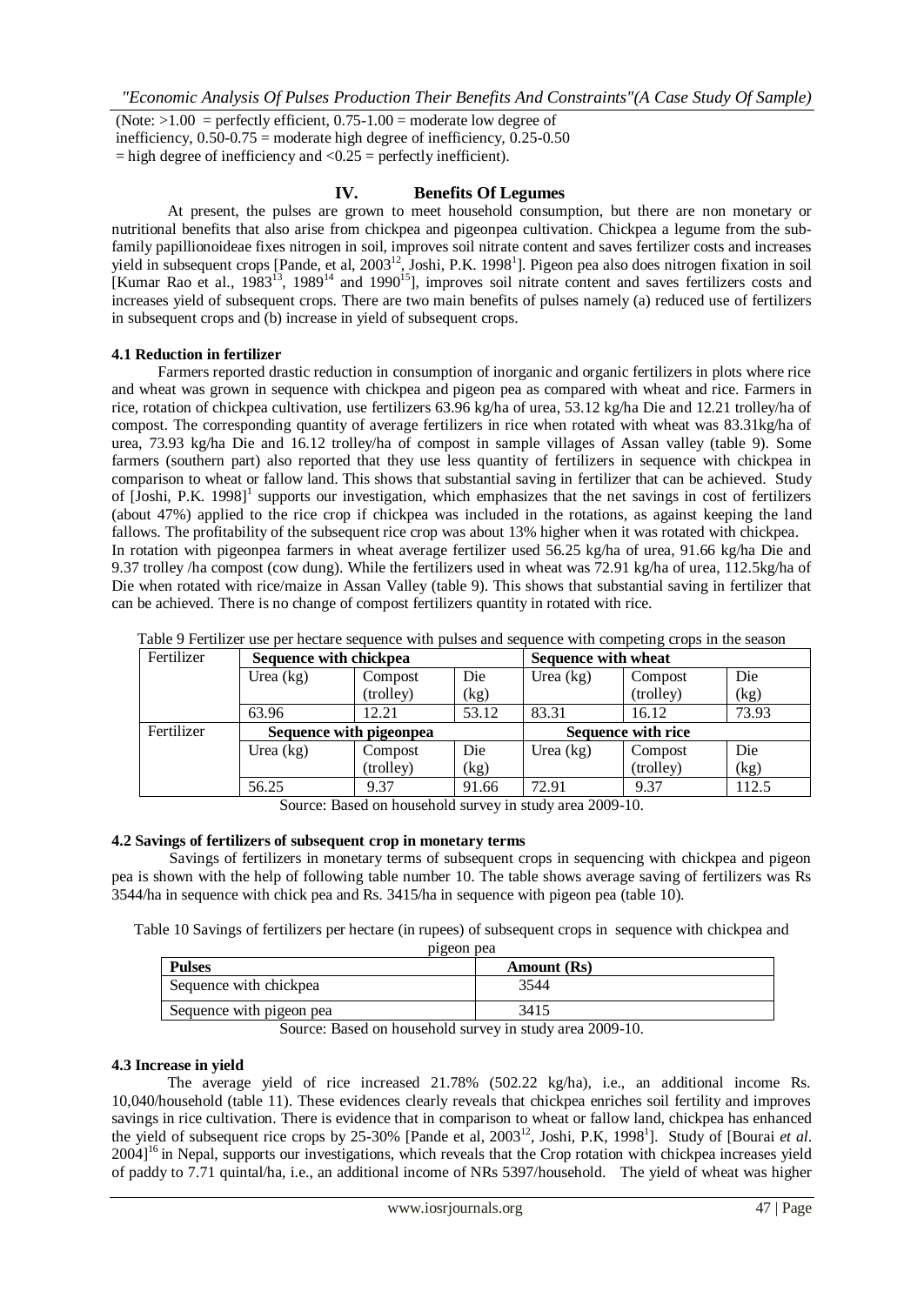(Note:  $>1.00$  = perfectly efficient,  $0.75-1.00$  = moderate low degree of inefficiency,  $0.50 - 0.75$  = moderate high degree of inefficiency,  $0.25 - 0.50$  $=$  high degree of inefficiency and  $< 0.25$  = perfectly inefficient).

## **IV. Benefits Of Legumes**

At present, the pulses are grown to meet household consumption, but there are non monetary or nutritional benefits that also arise from chickpea and pigeonpea cultivation. Chickpea a legume from the subfamily papillionoideae fixes nitrogen in soil, improves soil nitrate content and saves fertilizer costs and increases yield in subsequent crops [Pande, et al, 2003<sup>12</sup>, Joshi, P.K. 1998<sup>1</sup>]. Pigeon pea also does nitrogen fixation in soil [Kumar Rao et al.,  $1983^{13}$ ,  $1989^{14}$  and  $1990^{15}$ ], improves soil nitrate content and saves fertilizers costs and increases yield of subsequent crops. There are two main benefits of pulses namely (a) reduced use of fertilizers in subsequent crops and (b) increase in yield of subsequent crops.

## **4.1 Reduction in fertilizer**

 Farmers reported drastic reduction in consumption of inorganic and organic fertilizers in plots where rice and wheat was grown in sequence with chickpea and pigeon pea as compared with wheat and rice. Farmers in rice, rotation of chickpea cultivation, use fertilizers 63.96 kg/ha of urea, 53.12 kg/ha Die and 12.21 trolley/ha of compost. The corresponding quantity of average fertilizers in rice when rotated with wheat was 83.31kg/ha of urea, 73.93 kg/ha Die and 16.12 trolley/ha of compost in sample villages of Assan valley (table 9). Some farmers (southern part) also reported that they use less quantity of fertilizers in sequence with chickpea in comparison to wheat or fallow land. This shows that substantial saving in fertilizer that can be achieved. Study of [Joshi, P.K. 1998]<sup>1</sup> supports our investigation, which emphasizes that the net savings in cost of fertilizers (about 47%) applied to the rice crop if chickpea was included in the rotations, as against keeping the land fallows. The profitability of the subsequent rice crop was about 13% higher when it was rotated with chickpea. In rotation with pigeonpea farmers in wheat average fertilizer used 56.25 kg/ha of urea, 91.66 kg/ha Die and 9.37 trolley /ha compost (cow dung). While the fertilizers used in wheat was 72.91 kg/ha of urea, 112.5kg/ha of Die when rotated with rice/maize in Assan Valley (table 9). This shows that substantial saving in fertilizer that can be achieved. There is no change of compost fertilizers quantity in rotated with rice.

| Fertilizer | Sequence with chickpea  |           | <b>Sequence with wheat</b> |             |                           |       |
|------------|-------------------------|-----------|----------------------------|-------------|---------------------------|-------|
|            | Urea $(kg)$             | Compost   | Die                        | Urea $(kg)$ | Compost                   | Die   |
|            |                         | (trolley) | (kg)                       |             | (trolley)                 | (kg)  |
|            | 63.96                   | 12.21     | 53.12                      | 83.31       | 16.12                     | 73.93 |
| Fertilizer | Sequence with pigeonpea |           |                            |             | <b>Sequence with rice</b> |       |
|            | Urea $(kg)$             | Compost   | Die                        | Urea $(kg)$ | Compost                   | Die   |
|            |                         | (trolley) | (kg)                       |             | (trolley)                 | (kg)  |
|            | 56.25                   | 9.37      | 91.66                      | 72.91       | 9.37                      | 112.5 |

| Table 9 Fertilizer use per hectare sequence with pulses and sequence with competing crops in the season |  |  |  |  |  |  |
|---------------------------------------------------------------------------------------------------------|--|--|--|--|--|--|
|---------------------------------------------------------------------------------------------------------|--|--|--|--|--|--|

Source: Based on household survey in study area 2009-10.

## **4.2 Savings of fertilizers of subsequent crop in monetary terms**

 Savings of fertilizers in monetary terms of subsequent crops in sequencing with chickpea and pigeon pea is shown with the help of following table number 10. The table shows average saving of fertilizers was Rs 3544/ha in sequence with chick pea and Rs. 3415/ha in sequence with pigeon pea (table 10).

Table 10 Savings of fertilizers per hectare (in rupees) of subsequent crops in sequence with chickpea and pigeon pea

| $PI$ $S$ con pca         |             |  |  |  |
|--------------------------|-------------|--|--|--|
| <b>Pulses</b>            | Amount (Rs) |  |  |  |
| Sequence with chickpea   | 3544        |  |  |  |
| Sequence with pigeon pea | 3415        |  |  |  |
|                          |             |  |  |  |

Source: Based on household survey in study area 2009-10.

## **4.3 Increase in yield**

The average yield of rice increased 21.78% (502.22 kg/ha), i.e., an additional income Rs. 10,040/household (table 11). These evidences clearly reveals that chickpea enriches soil fertility and improves savings in rice cultivation. There is evidence that in comparison to wheat or fallow land, chickpea has enhanced the yield of subsequent rice crops by 25-30% [Pande et al, 2003<sup>12</sup>, Joshi, P.K, 1998<sup>1</sup>]. Study of [Bourai *et al.* 2004]<sup>16</sup> in Nepal, supports our investigations, which reveals that the Crop rotation with chickpea increases yield of paddy to 7.71 quintal/ha, i.e., an additional income of NRs 5397/household. The yield of wheat was higher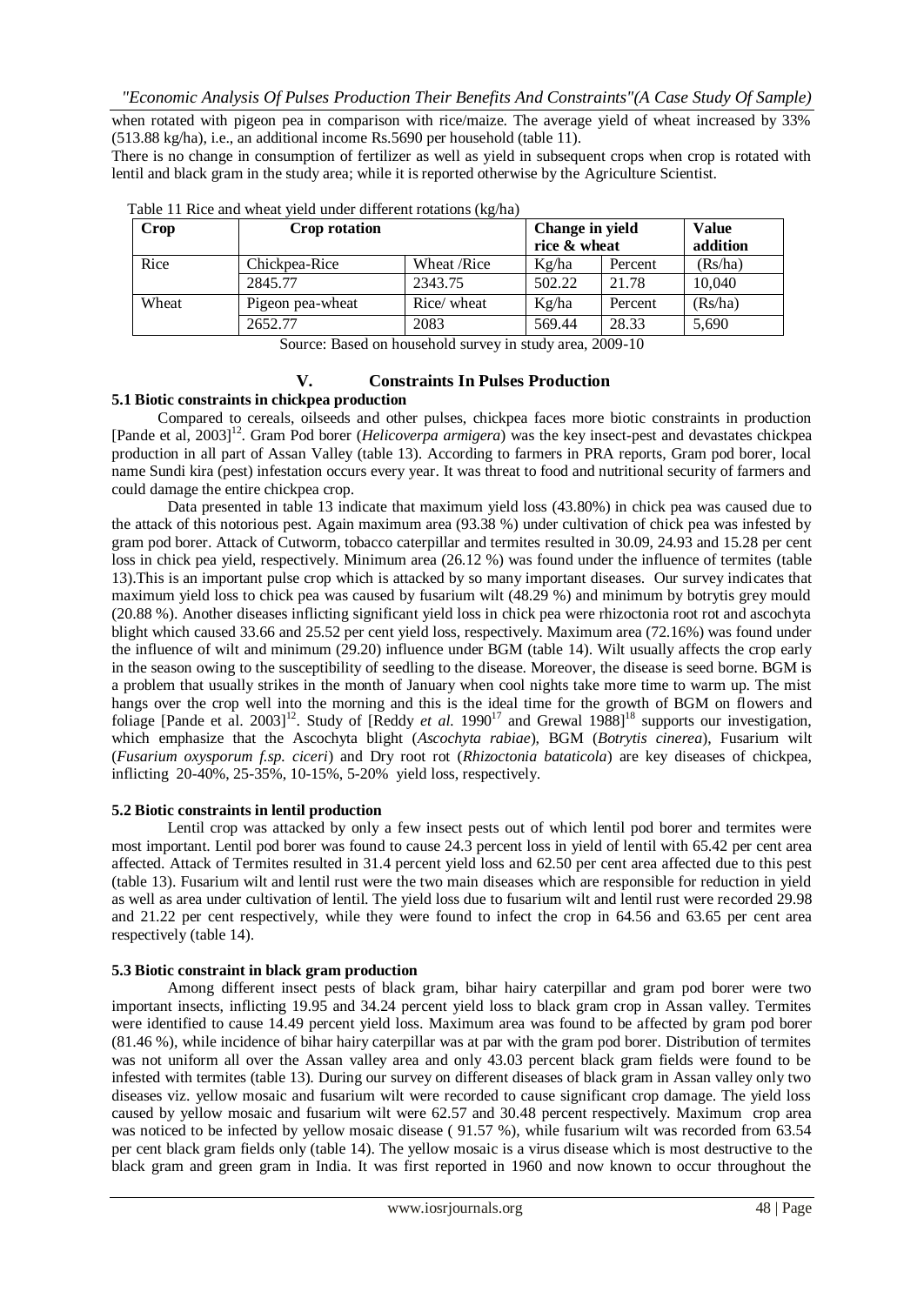when rotated with pigeon pea in comparison with rice/maize. The average yield of wheat increased by 33% (513.88 kg/ha), i.e., an additional income Rs.5690 per household (table 11).

There is no change in consumption of fertilizer as well as yield in subsequent crops when crop is rotated with lentil and black gram in the study area; while it is reported otherwise by the Agriculture Scientist.

| Crop  | Crop rotation    |             | Change in yield<br>rice & wheat |         | <b>Value</b><br>addition |
|-------|------------------|-------------|---------------------------------|---------|--------------------------|
| Rice  | Chickpea-Rice    | Wheat /Rice | Kg/ha                           | Percent | (Rs/ha)                  |
|       | 2845.77          | 2343.75     | 502.22                          | 21.78   | 10.040                   |
| Wheat | Pigeon pea-wheat | Rice/ wheat | Kg/ha                           | Percent | (Rs/ha)                  |
|       | 2652.77          | 2083        | 569.44                          | 28.33   | 5,690                    |

Table 11 Rice and wheat yield under different rotations (kg/ha)

Source: Based on household survey in study area, 2009-10

#### **V. Constraints In Pulses Production**

## **5.1 Biotic constraints in chickpea production**

 Compared to cereals, oilseeds and other pulses, chickpea faces more biotic constraints in production [Pande et al, 2003]<sup>12</sup>. Gram Pod borer (*Helicoverpa armigera*) was the key insect-pest and devastates chickpea production in all part of Assan Valley (table 13). According to farmers in PRA reports, Gram pod borer, local name Sundi kira (pest) infestation occurs every year. It was threat to food and nutritional security of farmers and could damage the entire chickpea crop.

Data presented in table 13 indicate that maximum yield loss (43.80%) in chick pea was caused due to the attack of this notorious pest. Again maximum area (93.38 %) under cultivation of chick pea was infested by gram pod borer. Attack of Cutworm, tobacco caterpillar and termites resulted in 30.09, 24.93 and 15.28 per cent loss in chick pea yield, respectively. Minimum area (26.12 %) was found under the influence of termites (table 13).This is an important pulse crop which is attacked by so many important diseases. Our survey indicates that maximum yield loss to chick pea was caused by fusarium wilt (48.29 %) and minimum by botrytis grey mould (20.88 %). Another diseases inflicting significant yield loss in chick pea were rhizoctonia root rot and ascochyta blight which caused 33.66 and 25.52 per cent yield loss, respectively. Maximum area (72.16%) was found under the influence of wilt and minimum (29.20) influence under BGM (table 14). Wilt usually affects the crop early in the season owing to the susceptibility of seedling to the disease. Moreover, the disease is seed borne. BGM is a problem that usually strikes in the month of January when cool nights take more time to warm up. The mist hangs over the crop well into the morning and this is the ideal time for the growth of BGM on flowers and foliage [Pande et al. 2003]<sup>12</sup>. Study of [Reddy *et al.* 1990<sup>17</sup> and Grewal 1988]<sup>18</sup> supports our investigation, which emphasize that the Ascochyta blight (*Ascochyta rabiae*), BGM (*Botrytis cinerea*), Fusarium wilt (*Fusarium oxysporum f.sp. ciceri*) and Dry root rot (*Rhizoctonia bataticola*) are key diseases of chickpea, inflicting 20-40%, 25-35%, 10-15%, 5-20% yield loss, respectively.

#### **5.2 Biotic constraints in lentil production**

Lentil crop was attacked by only a few insect pests out of which lentil pod borer and termites were most important. Lentil pod borer was found to cause 24.3 percent loss in yield of lentil with 65.42 per cent area affected. Attack of Termites resulted in 31.4 percent yield loss and 62.50 per cent area affected due to this pest (table 13). Fusarium wilt and lentil rust were the two main diseases which are responsible for reduction in yield as well as area under cultivation of lentil. The yield loss due to fusarium wilt and lentil rust were recorded 29.98 and 21.22 per cent respectively, while they were found to infect the crop in 64.56 and 63.65 per cent area respectively (table 14).

#### **5.3 Biotic constraint in black gram production**

Among different insect pests of black gram, bihar hairy caterpillar and gram pod borer were two important insects, inflicting 19.95 and 34.24 percent yield loss to black gram crop in Assan valley. Termites were identified to cause 14.49 percent yield loss. Maximum area was found to be affected by gram pod borer (81.46 %), while incidence of bihar hairy caterpillar was at par with the gram pod borer. Distribution of termites was not uniform all over the Assan valley area and only 43.03 percent black gram fields were found to be infested with termites (table 13). During our survey on different diseases of black gram in Assan valley only two diseases viz. yellow mosaic and fusarium wilt were recorded to cause significant crop damage. The yield loss caused by yellow mosaic and fusarium wilt were 62.57 and 30.48 percent respectively. Maximum crop area was noticed to be infected by yellow mosaic disease (91.57 %), while fusarium wilt was recorded from 63.54 per cent black gram fields only (table 14). The yellow mosaic is a virus disease which is most destructive to the black gram and green gram in India. It was first reported in 1960 and now known to occur throughout the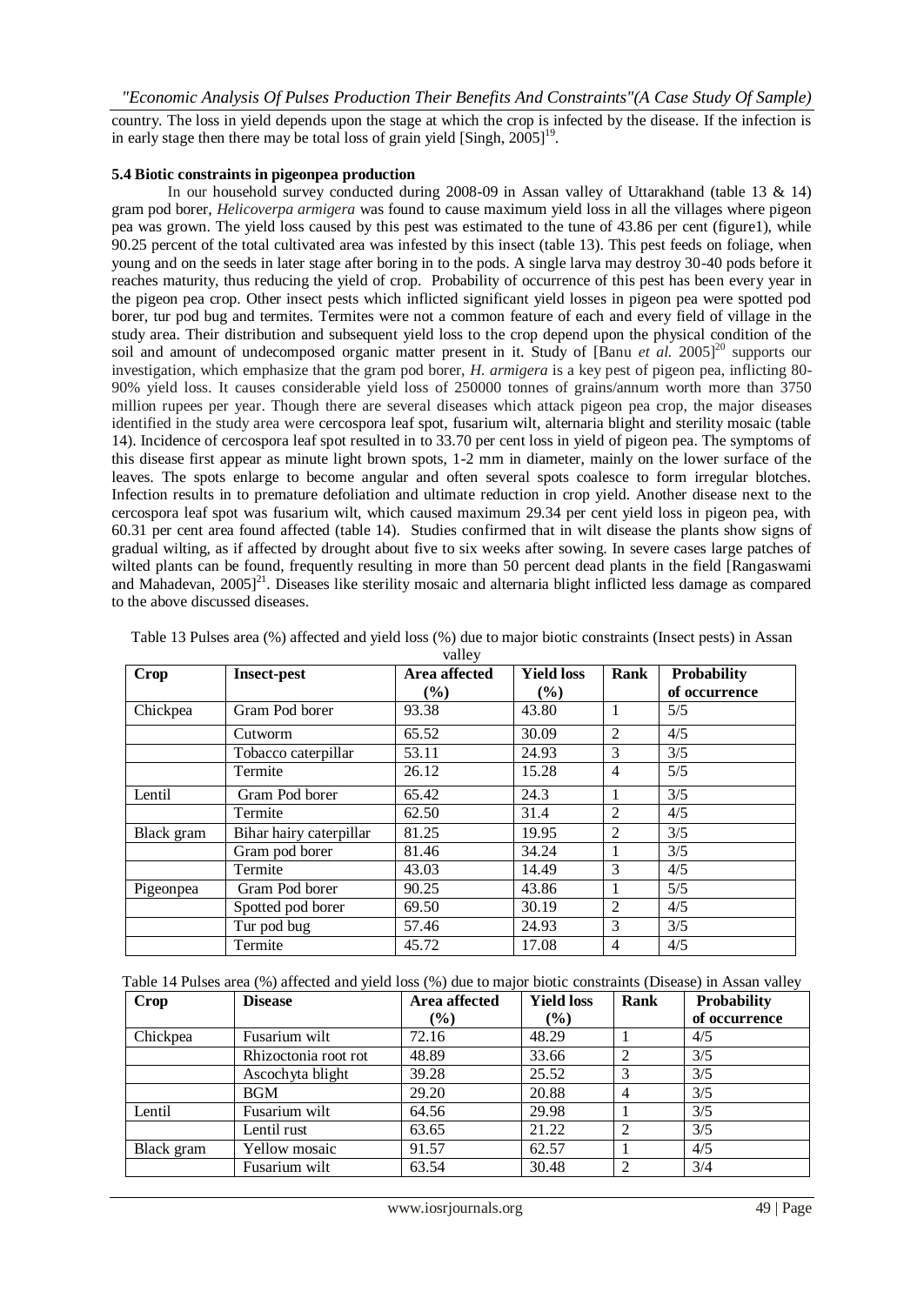country. The loss in yield depends upon the stage at which the crop is infected by the disease. If the infection is in early stage then there may be total loss of grain yield [Singh,  $2005$ ]<sup>19</sup>.

#### **5.4 Biotic constraints in pigeonpea production**

In our household survey conducted during 2008-09 in Assan valley of Uttarakhand (table 13 & 14) gram pod borer, *Helicoverpa armigera* was found to cause maximum yield loss in all the villages where pigeon pea was grown. The yield loss caused by this pest was estimated to the tune of 43.86 per cent (figure1), while 90.25 percent of the total cultivated area was infested by this insect (table 13). This pest feeds on foliage, when young and on the seeds in later stage after boring in to the pods. A single larva may destroy 30-40 pods before it reaches maturity, thus reducing the yield of crop. Probability of occurrence of this pest has been every year in the pigeon pea crop. Other insect pests which inflicted significant yield losses in pigeon pea were spotted pod borer, tur pod bug and termites. Termites were not a common feature of each and every field of village in the study area. Their distribution and subsequent yield loss to the crop depend upon the physical condition of the soil and amount of undecomposed organic matter present in it. Study of [Banu *et al.* 2005]<sup>20</sup> supports our investigation, which emphasize that the gram pod borer, *H. armigera* is a key pest of pigeon pea, inflicting 80- 90% yield loss. It causes considerable yield loss of 250000 tonnes of grains/annum worth more than 3750 million rupees per year. Though there are several diseases which attack pigeon pea crop, the major diseases identified in the study area were cercospora leaf spot, fusarium wilt, alternaria blight and sterility mosaic (table 14). Incidence of cercospora leaf spot resulted in to 33.70 per cent loss in yield of pigeon pea. The symptoms of this disease first appear as minute light brown spots, 1-2 mm in diameter, mainly on the lower surface of the leaves. The spots enlarge to become angular and often several spots coalesce to form irregular blotches. Infection results in to premature defoliation and ultimate reduction in crop yield. Another disease next to the cercospora leaf spot was fusarium wilt, which caused maximum 29.34 per cent yield loss in pigeon pea, with 60.31 per cent area found affected (table 14). Studies confirmed that in wilt disease the plants show signs of gradual wilting, as if affected by drought about five to six weeks after sowing. In severe cases large patches of wilted plants can be found, frequently resulting in more than 50 percent dead plants in the field [Rangaswami] and Mahadevan,  $2005$ <sup>21</sup>. Diseases like sterility mosaic and alternaria blight inflicted less damage as compared to the above discussed diseases.

| <b>Crop</b> | <b>Insect-pest</b>      | Area affected<br>$\frac{9}{6}$ | <b>Yield loss</b><br>$\frac{9}{6}$ | Rank           | <b>Probability</b><br>of occurrence |
|-------------|-------------------------|--------------------------------|------------------------------------|----------------|-------------------------------------|
| Chickpea    | Gram Pod borer          | 93.38                          | 43.80                              |                | 5/5                                 |
|             | Cutworm                 | 65.52                          | 30.09                              | 2              | 4/5                                 |
|             | Tobacco caterpillar     | 53.11                          | 24.93                              | 3              | 3/5                                 |
|             | Termite                 | 26.12                          | 15.28                              | 4              | 5/5                                 |
| Lentil      | Gram Pod borer          | 65.42                          | 24.3                               | 1              | 3/5                                 |
|             | Termite                 | 62.50                          | 31.4                               | $\overline{2}$ | 4/5                                 |
| Black gram  | Bihar hairy caterpillar | 81.25                          | 19.95                              | 2              | 3/5                                 |
|             | Gram pod borer          | 81.46                          | 34.24                              |                | 3/5                                 |
|             | Termite                 | 43.03                          | 14.49                              | 3              | 4/5                                 |
| Pigeonpea   | Gram Pod borer          | 90.25                          | 43.86                              |                | 5/5                                 |
|             | Spotted pod borer       | 69.50                          | 30.19                              | $\overline{2}$ | 4/5                                 |
|             | Tur pod bug             | 57.46                          | 24.93                              | 3              | 3/5                                 |
|             | Termite                 | 45.72                          | 17.08                              | 4              | 4/5                                 |

Table 13 Pulses area (%) affected and yield loss (%) due to major biotic constraints (Insect pests) in Assan valley

| <b>Crop</b> | <b>Disease</b>       | Area affected | <b>Yield loss</b> | Rank | Probability   |
|-------------|----------------------|---------------|-------------------|------|---------------|
|             |                      | $(\%)$        | $(\%)$            |      | of occurrence |
| Chickpea    | Fusarium wilt        | 72.16         | 48.29             |      | 4/5           |
|             | Rhizoctonia root rot | 48.89         | 33.66             |      | 3/5           |
|             | Ascochyta blight     | 39.28         | 25.52             |      | 3/5           |
|             | <b>BGM</b>           | 29.20         | 20.88             | 4    | 3/5           |
| Lentil      | Fusarium wilt        | 64.56         | 29.98             |      | 3/5           |
|             | Lentil rust          | 63.65         | 21.22             | っ    | 3/5           |
| Black gram  | Yellow mosaic        | 91.57         | 62.57             |      | 4/5           |
|             | Fusarium wilt        | 63.54         | 30.48             | າ    | 3/4           |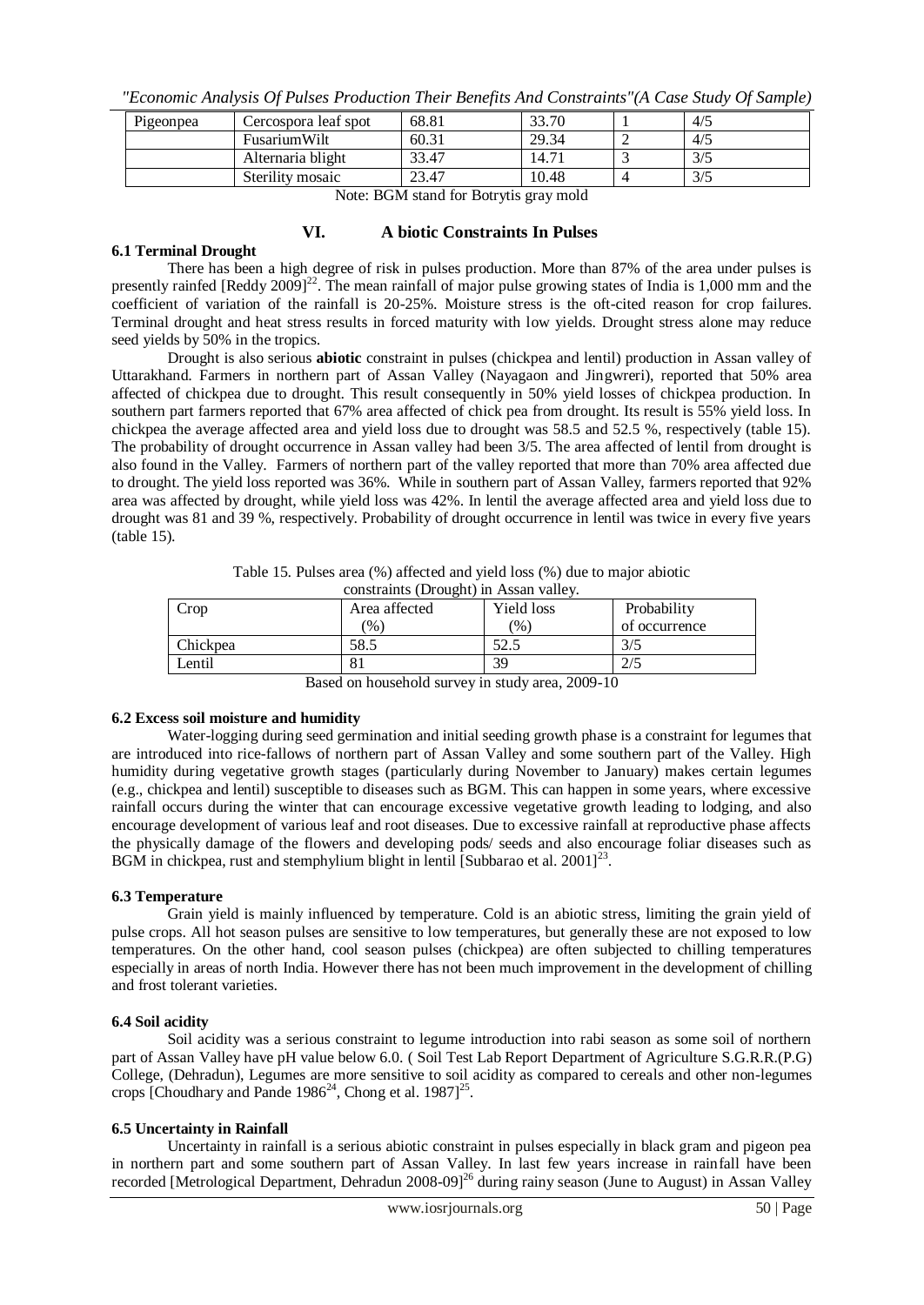*"Economic Analysis Of Pulses Production Their Benefits And Constraints"(A Case Study Of Sample)*

| Pigeonpea                                              | Cercospora leaf spot | 68.81 | 33.70 |  | 4/5 |  |
|--------------------------------------------------------|----------------------|-------|-------|--|-----|--|
|                                                        | FusariumWilt         | 60.31 | 29.34 |  | 4/5 |  |
|                                                        | Alternaria blight    | 33.47 | 14.71 |  | 3/5 |  |
| Sterility mosaic<br>10.48<br>3/5<br>23.47              |                      |       |       |  |     |  |
| $\mathbf{v}$ matrix $\mathbf{v}$ m $\mathbf{v}$<br>. . |                      |       |       |  |     |  |

Note: BGM stand for Botrytis gray mold

## **VI. A biotic Constraints In Pulses**

#### **6.1 Terminal Drought**

There has been a high degree of risk in pulses production. More than 87% of the area under pulses is presently rainfed [Reddy 2009]<sup>22</sup>. The mean rainfall of major pulse growing states of India is 1,000 mm and the coefficient of variation of the rainfall is 20-25%. Moisture stress is the oft-cited reason for crop failures. Terminal drought and heat stress results in forced maturity with low yields. Drought stress alone may reduce seed yields by 50% in the tropics.

Drought is also serious **abiotic** constraint in pulses (chickpea and lentil) production in Assan valley of Uttarakhand. Farmers in northern part of Assan Valley (Nayagaon and Jingwreri), reported that 50% area affected of chickpea due to drought. This result consequently in 50% yield losses of chickpea production. In southern part farmers reported that 67% area affected of chick pea from drought. Its result is 55% yield loss. In chickpea the average affected area and yield loss due to drought was 58.5 and 52.5 %, respectively (table 15). The probability of drought occurrence in Assan valley had been 3/5. The area affected of lentil from drought is also found in the Valley. Farmers of northern part of the valley reported that more than 70% area affected due to drought. The yield loss reported was 36%. While in southern part of Assan Valley, farmers reported that 92% area was affected by drought, while yield loss was 42%. In lentil the average affected area and yield loss due to drought was 81 and 39 %, respectively. Probability of drought occurrence in lentil was twice in every five years (table 15).

| constraints (Drought) in Assair valie y. |                        |                   |               |  |  |
|------------------------------------------|------------------------|-------------------|---------------|--|--|
| Crop                                     | Area affected          | <b>Yield loss</b> | Probability   |  |  |
|                                          | $\mathcal{O}_0$ )      | $\frac{1}{2}$     | of occurrence |  |  |
| Chickpea                                 | 58.5                   | ل د ک             | 3/5           |  |  |
| Lentil                                   |                        | 39                | 2/5           |  |  |
| $\overline{\phantom{a}}$                 | - - -<br>-------<br>__ |                   |               |  |  |

Table 15. Pulses area (%) affected and yield loss (%) due to major abiotic constraints (Drought) in Assan valley.

Based on household survey in study area, 2009-10

## **6.2 Excess soil moisture and humidity**

Water-logging during seed germination and initial seeding growth phase is a constraint for legumes that are introduced into rice-fallows of northern part of Assan Valley and some southern part of the Valley. High humidity during vegetative growth stages (particularly during November to January) makes certain legumes (e.g., chickpea and lentil) susceptible to diseases such as BGM. This can happen in some years, where excessive rainfall occurs during the winter that can encourage excessive vegetative growth leading to lodging, and also encourage development of various leaf and root diseases. Due to excessive rainfall at reproductive phase affects the physically damage of the flowers and developing pods/ seeds and also encourage foliar diseases such as BGM in chickpea, rust and stemphylium blight in lentil [Subbarao et al.  $2001$ ]<sup>23</sup>.

## **6.3 Temperature**

Grain yield is mainly influenced by temperature. Cold is an abiotic stress, limiting the grain yield of pulse crops. All hot season pulses are sensitive to low temperatures, but generally these are not exposed to low temperatures. On the other hand, cool season pulses (chickpea) are often subjected to chilling temperatures especially in areas of north India. However there has not been much improvement in the development of chilling and frost tolerant varieties.

## **6.4 Soil acidity**

Soil acidity was a serious constraint to legume introduction into rabi season as some soil of northern part of Assan Valley have pH value below 6.0. ( Soil Test Lab Report Department of Agriculture S.G.R.R.(P.G) College, (Dehradun), Legumes are more sensitive to soil acidity as compared to cereals and other non-legumes crops [Choudhary and Pande  $1986^{24}$ , Chong et al.  $1987]^{25}$ .

## **6.5 Uncertainty in Rainfall**

Uncertainty in rainfall is a serious abiotic constraint in pulses especially in black gram and pigeon pea in northern part and some southern part of Assan Valley. In last few years increase in rainfall have been recorded [Metrological Department, Dehradun 2008-09]<sup>26</sup> during rainy season (June to August) in Assan Valley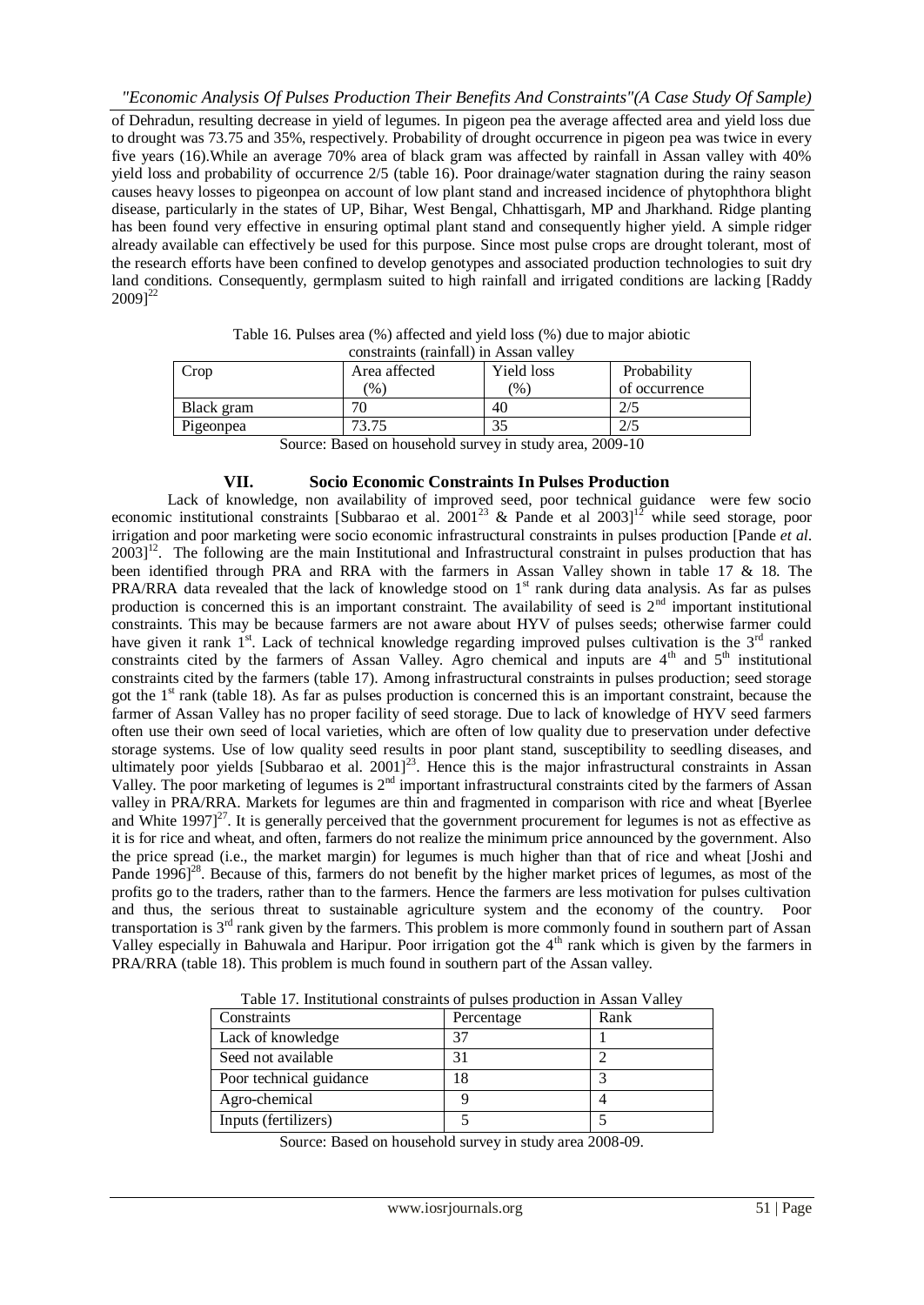*"Economic Analysis Of Pulses Production Their Benefits And Constraints"(A Case Study Of Sample)* of Dehradun, resulting decrease in yield of legumes. In pigeon pea the average affected area and yield loss due to drought was 73.75 and 35%, respectively. Probability of drought occurrence in pigeon pea was twice in every five years (16).While an average 70% area of black gram was affected by rainfall in Assan valley with 40% yield loss and probability of occurrence 2/5 (table 16). Poor drainage/water stagnation during the rainy season causes heavy losses to pigeonpea on account of low plant stand and increased incidence of phytophthora blight disease, particularly in the states of UP, Bihar, West Bengal, Chhattisgarh, MP and Jharkhand. Ridge planting has been found very effective in ensuring optimal plant stand and consequently higher yield. A simple ridger already available can effectively be used for this purpose. Since most pulse crops are drought tolerant, most of the research efforts have been confined to develop genotypes and associated production technologies to suit dry land conditions. Consequently, germplasm suited to high rainfall and irrigated conditions are lacking [Raddy  $2009]^{22}$ 

| CONStraints (Tailman) in Assail Valley                   |               |                   |               |  |
|----------------------------------------------------------|---------------|-------------------|---------------|--|
| Crop                                                     | Area affected | Yield loss        | Probability   |  |
|                                                          | $\%$          | $\left(\%\right)$ | of occurrence |  |
| Black gram                                               |               | 40                |               |  |
| Pigeonpea                                                | 73.75         |                   |               |  |
| Course: Desed on household survey in study eres, 2000 10 |               |                   |               |  |

| Table 16. Pulses area (%) affected and yield loss (%) due to major abiotic |  |
|----------------------------------------------------------------------------|--|
| constraints (rainfall) in Assan valley                                     |  |

Source: Based on household survey in study area, 2009-10

## **VII. Socio Economic Constraints In Pulses Production**

Lack of knowledge, non availability of improved seed, poor technical guidance were few socio economic institutional constraints [Subbarao et al.  $2001^{23}$  & Pande et al  $2003$ ]<sup>12</sup> while seed storage, poor irrigation and poor marketing were socio economic infrastructural constraints in pulses production [Pande *et al*.  $2003$ <sup>12</sup>. The following are the main Institutional and Infrastructural constraint in pulses production that has been identified through PRA and RRA with the farmers in Assan Valley shown in table 17 & 18. The PRA/RRA data revealed that the lack of knowledge stood on 1<sup>st</sup> rank during data analysis. As far as pulses production is concerned this is an important constraint. The availability of seed is  $2<sup>nd</sup>$  important institutional constraints. This may be because farmers are not aware about HYV of pulses seeds; otherwise farmer could have given it rank  $1<sup>st</sup>$ . Lack of technical knowledge regarding improved pulses cultivation is the  $3<sup>rd</sup>$  ranked constraints cited by the farmers of Assan Valley. Agro chemical and inputs are  $4<sup>th</sup>$  and  $5<sup>th</sup>$  institutional constraints cited by the farmers (table 17). Among infrastructural constraints in pulses production; seed storage got the  $1<sup>st</sup>$  rank (table 18). As far as pulses production is concerned this is an important constraint, because the farmer of Assan Valley has no proper facility of seed storage. Due to lack of knowledge of HYV seed farmers often use their own seed of local varieties, which are often of low quality due to preservation under defective storage systems. Use of low quality seed results in poor plant stand, susceptibility to seedling diseases, and ultimately poor yields [Subbarao et al. 2001]<sup>23</sup>. Hence this is the major infrastructural constraints in Assan Valley. The poor marketing of legumes is 2<sup>nd</sup> important infrastructural constraints cited by the farmers of Assan valley in PRA/RRA. Markets for legumes are thin and fragmented in comparison with rice and wheat [Byerlee and White  $1997]^{27}$ . It is generally perceived that the government procurement for legumes is not as effective as it is for rice and wheat, and often, farmers do not realize the minimum price announced by the government. Also the price spread (i.e., the market margin) for legumes is much higher than that of rice and wheat [Joshi and Pande  $1996$ <sup>28</sup>. Because of this, farmers do not benefit by the higher market prices of legumes, as most of the profits go to the traders, rather than to the farmers. Hence the farmers are less motivation for pulses cultivation and thus, the serious threat to sustainable agriculture system and the economy of the country. Poor transportation is 3rd rank given by the farmers. This problem is more commonly found in southern part of Assan Valley especially in Bahuwala and Haripur. Poor irrigation got the 4<sup>th</sup> rank which is given by the farmers in PRA/RRA (table 18). This problem is much found in southern part of the Assan valley.

| Constraints             | Percentage | Rank |
|-------------------------|------------|------|
| Lack of knowledge       |            |      |
| Seed not available      | 31         |      |
| Poor technical guidance |            |      |
| Agro-chemical           |            |      |
| Inputs (fertilizers)    |            |      |

Table 17. Institutional constraints of pulses production in Assan Valley

Source: Based on household survey in study area 2008-09.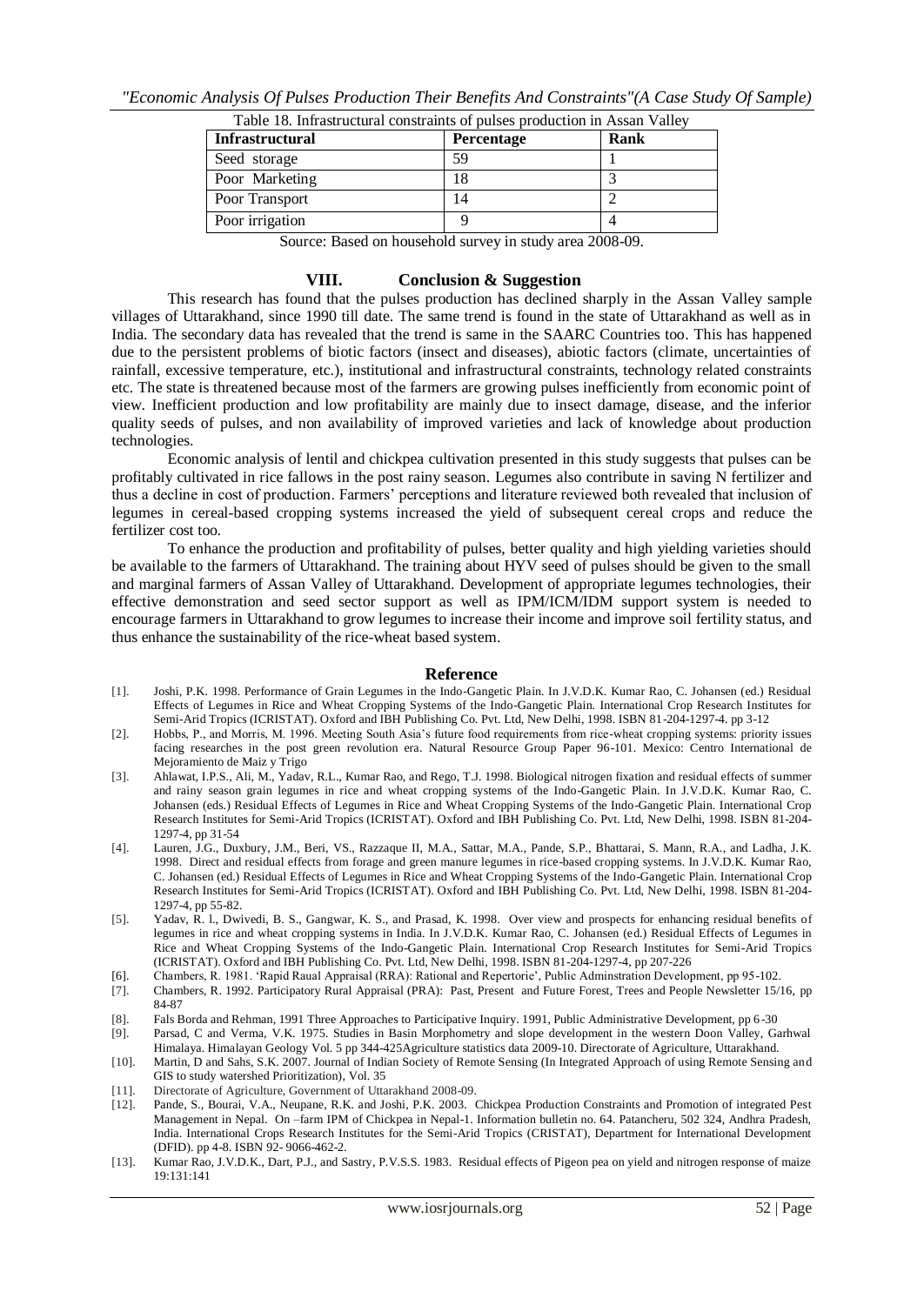| Table 18. Infrastructural constraints of pulses production in Assan Valley |            |      |
|----------------------------------------------------------------------------|------------|------|
| <b>Infrastructural</b>                                                     | Percentage | Rank |
| Seed storage                                                               | 59         |      |
| Poor Marketing                                                             |            |      |
| Poor Transport                                                             |            |      |
| Poor irrigation                                                            |            |      |

Source: Based on household survey in study area 2008-09.

#### **VIII. Conclusion & Suggestion**

This research has found that the pulses production has declined sharply in the Assan Valley sample villages of Uttarakhand, since 1990 till date. The same trend is found in the state of Uttarakhand as well as in India. The secondary data has revealed that the trend is same in the SAARC Countries too. This has happened due to the persistent problems of biotic factors (insect and diseases), abiotic factors (climate, uncertainties of rainfall, excessive temperature, etc.), institutional and infrastructural constraints, technology related constraints etc. The state is threatened because most of the farmers are growing pulses inefficiently from economic point of view. Inefficient production and low profitability are mainly due to insect damage, disease, and the inferior quality seeds of pulses, and non availability of improved varieties and lack of knowledge about production technologies.

Economic analysis of lentil and chickpea cultivation presented in this study suggests that pulses can be profitably cultivated in rice fallows in the post rainy season. Legumes also contribute in saving N fertilizer and thus a decline in cost of production. Farmers" perceptions and literature reviewed both revealed that inclusion of legumes in cereal-based cropping systems increased the yield of subsequent cereal crops and reduce the fertilizer cost too.

To enhance the production and profitability of pulses, better quality and high yielding varieties should be available to the farmers of Uttarakhand. The training about HYV seed of pulses should be given to the small and marginal farmers of Assan Valley of Uttarakhand. Development of appropriate legumes technologies, their effective demonstration and seed sector support as well as IPM/ICM/IDM support system is needed to encourage farmers in Uttarakhand to grow legumes to increase their income and improve soil fertility status, and thus enhance the sustainability of the rice-wheat based system.

#### **Reference**

- [1]. Joshi, P.K. 1998. Performance of Grain Legumes in the Indo-Gangetic Plain. In J.V.D.K. Kumar Rao, C. Johansen (ed.) Residual Effects of Legumes in Rice and Wheat Cropping Systems of the Indo-Gangetic Plain. International Crop Research Institutes for Semi-Arid Tropics (ICRISTAT). Oxford and IBH Publishing Co. Pvt. Ltd, New Delhi, 1998. ISBN 81-204-1297-4. pp 3-12
- [2]. Hobbs, P., and Morris, M. 1996. Meeting South Asia"s future food requirements from rice-wheat cropping systems: priority issues facing researches in the post green revolution era. Natural Resource Group Paper 96-101. Mexico: Centro International de Mejoramiento de Maiz y Trigo
- [3]. Ahlawat, I.P.S., Ali, M., Yadav, R.L., Kumar Rao, and Rego, T.J. 1998. Biological nitrogen fixation and residual effects of summer and rainy season grain legumes in rice and wheat cropping systems of the Indo-Gangetic Plain. In J.V.D.K. Kumar Rao, C. Johansen (eds.) Residual Effects of Legumes in Rice and Wheat Cropping Systems of the Indo-Gangetic Plain. International Crop Research Institutes for Semi-Arid Tropics (ICRISTAT). Oxford and IBH Publishing Co. Pvt. Ltd, New Delhi, 1998. ISBN 81-204- 1297-4, pp 31-54
- [4]. Lauren, J.G., Duxbury, J.M., Beri, VS., Razzaque II, M.A., Sattar, M.A., Pande, S.P., Bhattarai, S. Mann, R.A., and Ladha, J.K. 1998. Direct and residual effects from forage and green manure legumes in rice-based cropping systems. In J.V.D.K. Kumar Rao, C. Johansen (ed.) Residual Effects of Legumes in Rice and Wheat Cropping Systems of the Indo-Gangetic Plain. International Crop Research Institutes for Semi-Arid Tropics (ICRISTAT). Oxford and IBH Publishing Co. Pvt. Ltd, New Delhi, 1998. ISBN 81-204- 1297-4, pp 55-82.
- [5]. Yadav, R. l., Dwivedi, B. S., Gangwar, K. S., and Prasad, K. 1998. Over view and prospects for enhancing residual benefits of legumes in rice and wheat cropping systems in India. In J.V.D.K. Kumar Rao, C. Johansen (ed.) Residual Effects of Legumes in Rice and Wheat Cropping Systems of the Indo-Gangetic Plain. International Crop Research Institutes for Semi-Arid Tropics (ICRISTAT). Oxford and IBH Publishing Co. Pvt. Ltd, New Delhi, 1998. ISBN 81-204-1297-4, pp 207-226
- [6]. Chambers, R. 1981. 'Rapid Raual Appraisal (RRA): Rational and Repertorie', Public Adminstration Development, pp 95-102.
- [7]. Chambers, R. 1992. Participatory Rural Appraisal (PRA): Past, Present and Future Forest, Trees and People Newsletter 15/16, pp 84-87
- [8]. Fals Borda and Rehman, 1991 Three Approaches to Participative Inquiry. 1991, Public Administrative Development, pp 6-30
- [9]. Parsad, C and Verma, V.K. 1975. Studies in Basin Morphometry and slope development in the western Doon Valley, Garhwal Himalaya. Himalayan Geology Vol. 5 pp 344-425Agriculture statistics data 2009-10. Directorate of Agriculture, Uttarakhand.
- [10]. Martin, D and Sahs, S.K. 2007. Journal of Indian Society of Remote Sensing (In Integrated Approach of using Remote Sensing and GIS to study watershed Prioritization), Vol. 35
- [11]. Directorate of Agriculture, Government of Uttarakhand 2008-09.
- [12]. Pande, S., Bourai, V.A., Neupane, R.K. and Joshi, P.K. 2003. Chickpea Production Constraints and Promotion of integrated Pest Management in Nepal. On –farm IPM of Chickpea in Nepal-1. Information bulletin no. 64. Patancheru, 502 324, Andhra Pradesh, India. International Crops Research Institutes for the Semi-Arid Tropics (CRISTAT), Department for International Development (DFID). pp 4-8. ISBN 92- 9066-462-2.
- [13]. Kumar Rao, J.V.D.K., Dart, P.J., and Sastry, P.V.S.S. 1983. Residual effects of Pigeon pea on yield and nitrogen response of maize 19:131:141